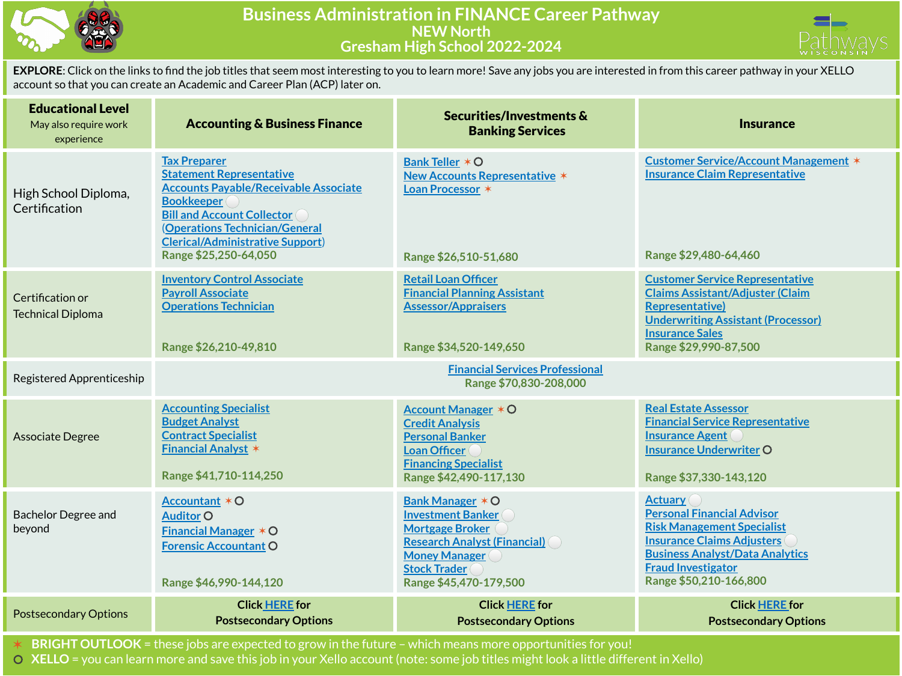



**EXPLORE**: Click on the links to find the job titles that seem most interesting to you to learn more! Save any jobs you are interested in from this career pathway in your XELLO account so that you can create an Academic and Career Plan (ACP) later on.

| <b>Educational Level</b><br>May also require work<br>experience | <b>Accounting &amp; Business Finance</b>                                                                                                                                                                                                                               | Securities/Investments &<br><b>Banking Services</b>                                                                                                                                    | <b>Insurance</b>                                                                                                                                                                                                               |
|-----------------------------------------------------------------|------------------------------------------------------------------------------------------------------------------------------------------------------------------------------------------------------------------------------------------------------------------------|----------------------------------------------------------------------------------------------------------------------------------------------------------------------------------------|--------------------------------------------------------------------------------------------------------------------------------------------------------------------------------------------------------------------------------|
| High School Diploma,<br>Certification                           | <b>Tax Preparer</b><br><b>Statement Representative</b><br><b>Accounts Payable/Receivable Associate</b><br><b>Bookkeeper</b><br><b>Bill and Account Collector</b><br>(Operations Technician/General<br><b>Clerical/Administrative Support)</b><br>Range \$25,250-64,050 | Bank Teller * O<br><b>New Accounts Representative *</b><br>Loan Processor *<br>Range \$26,510-51,680                                                                                   | <b>Customer Service/Account Management *</b><br><b>Insurance Claim Representative</b><br>Range \$29,480-64,460                                                                                                                 |
| Certification or<br><b>Technical Diploma</b>                    | <b>Inventory Control Associate</b><br><b>Payroll Associate</b><br><b>Operations Technician</b><br>Range \$26,210-49,810                                                                                                                                                | <b>Retail Loan Officer</b><br><b>Financial Planning Assistant</b><br><b>Assessor/Appraisers</b><br>Range \$34,520-149,650                                                              | <b>Customer Service Representative</b><br><b>Claims Assistant/Adjuster (Claim</b><br><b>Representative)</b><br><b>Underwriting Assistant (Processor)</b><br><b>Insurance Sales</b><br>Range \$29,990-87,500                    |
| Registered Apprenticeship                                       |                                                                                                                                                                                                                                                                        | <b>Financial Services Professional</b><br>Range \$70,830-208,000                                                                                                                       |                                                                                                                                                                                                                                |
| <b>Associate Degree</b>                                         | <b>Accounting Specialist</b><br><b>Budget Analyst</b><br><b>Contract Specialist</b><br><b>Financial Analyst *</b><br>Range \$41,710-114,250                                                                                                                            | <b>Account Manager * O</b><br><b>Credit Analysis</b><br><b>Personal Banker</b><br>Loan Officer<br><b>Financing Specialist</b><br>Range \$42,490-117,130                                | <b>Real Estate Assessor</b><br><b>Financial Service Representative</b><br><b>Insurance Agent</b><br><b>Insurance Underwriter O</b><br>Range \$37,330-143,120                                                                   |
| <b>Bachelor Degree and</b><br>beyond                            | Accountant $*$ O<br><b>Auditor O</b><br><b>Financial Manager * O</b><br><b>Forensic Accountant O</b><br>Range \$46,990-144,120                                                                                                                                         | Bank Manager * O<br><b>Investment Banker</b><br><b>Mortgage Broker</b><br><b>Research Analyst (Financial)</b><br><b>Money Manager</b><br><b>Stock Trader</b><br>Range \$45,470-179,500 | <b>Actuary</b><br><b>Personal Financial Advisor</b><br><b>Risk Management Specialist</b><br><b>Insurance Claims Adjusters</b><br><b>Business Analyst/Data Analytics</b><br><b>Fraud Investigator</b><br>Range \$50,210-166,800 |
| <b>Postsecondary Options</b>                                    | <b>Click HERE</b> for<br><b>Postsecondary Options</b>                                                                                                                                                                                                                  | <b>Click HERE for</b><br><b>Postsecondary Options</b>                                                                                                                                  | <b>Click HERE for</b><br><b>Postsecondary Options</b>                                                                                                                                                                          |

✶ **BRIGHT OUTLOOK** = these jobs are expected to grow in the future – which means more opportunities for you!

⚪ **XELLO** = you can learn more and save this job in your Xello account (note: some job titles might look a little different in Xello)